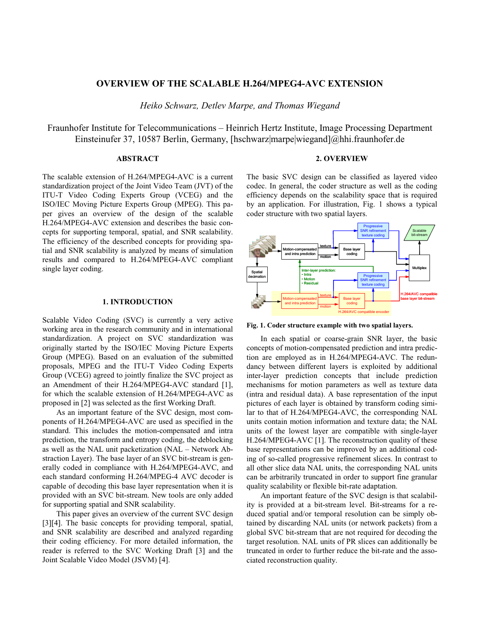# **OVERVIEW OF THE SCALABLE H.264/MPEG4-AVC EXTENSION**

*Heiko Schwarz, Detlev Marpe, and Thomas Wiegand* 

Fraunhofer Institute for Telecommunications – Heinrich Hertz Institute, Image Processing Department Einsteinufer 37, 10587 Berlin, Germany, [hschwarz|marpe|wiegand]@hhi.fraunhofer.de

## **ABSTRACT**

The scalable extension of H.264/MPEG4-AVC is a current standardization project of the Joint Video Team (JVT) of the ITU-T Video Coding Experts Group (VCEG) and the ISO/IEC Moving Picture Experts Group (MPEG). This paper gives an overview of the design of the scalable H.264/MPEG4-AVC extension and describes the basic concepts for supporting temporal, spatial, and SNR scalability. The efficiency of the described concepts for providing spatial and SNR scalability is analyzed by means of simulation results and compared to H.264/MPEG4-AVC compliant single layer coding.

## **1. INTRODUCTION**

Scalable Video Coding (SVC) is currently a very active working area in the research community and in international standardization. A project on SVC standardization was originally started by the ISO/IEC Moving Picture Experts Group (MPEG). Based on an evaluation of the submitted proposals, MPEG and the ITU-T Video Coding Experts Group (VCEG) agreed to jointly finalize the SVC project as an Amendment of their H.264/MPEG4-AVC standard [1], for which the scalable extension of H.264/MPEG4-AVC as proposed in [2] was selected as the first Working Draft.

As an important feature of the SVC design, most components of H.264/MPEG4-AVC are used as specified in the standard. This includes the motion-compensated and intra prediction, the transform and entropy coding, the deblocking as well as the NAL unit packetization (NAL – Network Abstraction Layer). The base layer of an SVC bit-stream is generally coded in compliance with H.264/MPEG4-AVC, and each standard conforming H.264/MPEG-4 AVC decoder is capable of decoding this base layer representation when it is provided with an SVC bit-stream. New tools are only added for supporting spatial and SNR scalability.

This paper gives an overview of the current SVC design [3][4]. The basic concepts for providing temporal, spatial, and SNR scalability are described and analyzed regarding their coding efficiency. For more detailed information, the reader is referred to the SVC Working Draft [3] and the Joint Scalable Video Model (JSVM) [4].

### **2. OVERVIEW**

The basic SVC design can be classified as layered video codec. In general, the coder structure as well as the coding efficiency depends on the scalability space that is required by an application. For illustration, Fig. 1 shows a typical coder structure with two spatial layers.



**Fig. 1. Coder structure example with two spatial layers.** 

In each spatial or coarse-grain SNR layer, the basic concepts of motion-compensated prediction and intra prediction are employed as in H.264/MPEG4-AVC. The redundancy between different layers is exploited by additional inter-layer prediction concepts that include prediction mechanisms for motion parameters as well as texture data (intra and residual data). A base representation of the input pictures of each layer is obtained by transform coding similar to that of H.264/MPEG4-AVC, the corresponding NAL units contain motion information and texture data; the NAL units of the lowest layer are compatible with single-layer H.264/MPEG4-AVC [1]. The reconstruction quality of these base representations can be improved by an additional coding of so-called progressive refinement slices. In contrast to all other slice data NAL units, the corresponding NAL units can be arbitrarily truncated in order to support fine granular quality scalability or flexible bit-rate adaptation.

An important feature of the SVC design is that scalability is provided at a bit-stream level. Bit-streams for a reduced spatial and/or temporal resolution can be simply obtained by discarding NAL units (or network packets) from a global SVC bit-stream that are not required for decoding the target resolution. NAL units of PR slices can additionally be truncated in order to further reduce the bit-rate and the associated reconstruction quality.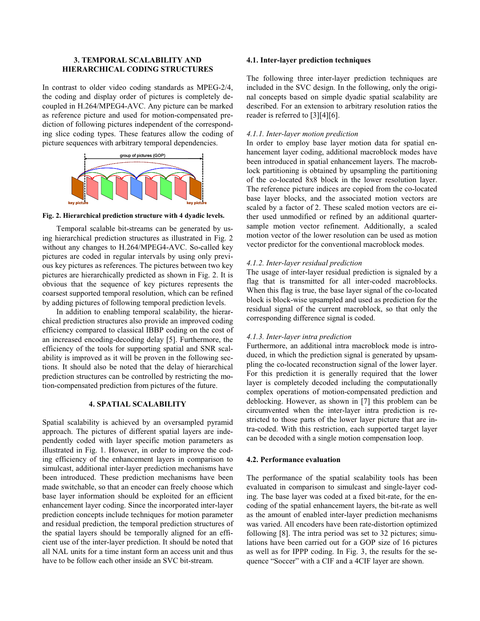# **3. TEMPORAL SCALABILITY AND HIERARCHICAL CODING STRUCTURES**

In contrast to older video coding standards as MPEG-2/4, the coding and display order of pictures is completely decoupled in H.264/MPEG4-AVC. Any picture can be marked as reference picture and used for motion-compensated prediction of following pictures independent of the corresponding slice coding types. These features allow the coding of picture sequences with arbitrary temporal dependencies.



**Fig. 2. Hierarchical prediction structure with 4 dyadic levels.**

Temporal scalable bit-streams can be generated by using hierarchical prediction structures as illustrated in Fig. 2 without any changes to H.264/MPEG4-AVC. So-called key pictures are coded in regular intervals by using only previous key pictures as references. The pictures between two key pictures are hierarchically predicted as shown in Fig. 2. It is obvious that the sequence of key pictures represents the coarsest supported temporal resolution, which can be refined by adding pictures of following temporal prediction levels.

In addition to enabling temporal scalability, the hierarchical prediction structures also provide an improved coding efficiency compared to classical IBBP coding on the cost of an increased encoding-decoding delay [5]. Furthermore, the efficiency of the tools for supporting spatial and SNR scalability is improved as it will be proven in the following sections. It should also be noted that the delay of hierarchical prediction structures can be controlled by restricting the motion-compensated prediction from pictures of the future.

#### **4. SPATIAL SCALABILITY**

Spatial scalability is achieved by an oversampled pyramid approach. The pictures of different spatial layers are independently coded with layer specific motion parameters as illustrated in Fig. 1. However, in order to improve the coding efficiency of the enhancement layers in comparison to simulcast, additional inter-layer prediction mechanisms have been introduced. These prediction mechanisms have been made switchable, so that an encoder can freely choose which base layer information should be exploited for an efficient enhancement layer coding. Since the incorporated inter-layer prediction concepts include techniques for motion parameter and residual prediction, the temporal prediction structures of the spatial layers should be temporally aligned for an efficient use of the inter-layer prediction. It should be noted that all NAL units for a time instant form an access unit and thus have to be follow each other inside an SVC bit-stream.

### **4.1. Inter-layer prediction techniques**

The following three inter-layer prediction techniques are included in the SVC design. In the following, only the original concepts based on simple dyadic spatial scalability are described. For an extension to arbitrary resolution ratios the reader is referred to [3][4][6].

#### *4.1.1. Inter-layer motion prediction*

In order to employ base layer motion data for spatial enhancement layer coding, additional macroblock modes have been introduced in spatial enhancement layers. The macroblock partitioning is obtained by upsampling the partitioning of the co-located 8x8 block in the lower resolution layer. The reference picture indices are copied from the co-located base layer blocks, and the associated motion vectors are scaled by a factor of 2. These scaled motion vectors are either used unmodified or refined by an additional quartersample motion vector refinement. Additionally, a scaled motion vector of the lower resolution can be used as motion vector predictor for the conventional macroblock modes.

### *4.1.2. Inter-layer residual prediction*

The usage of inter-layer residual prediction is signaled by a flag that is transmitted for all inter-coded macroblocks. When this flag is true, the base layer signal of the co-located block is block-wise upsampled and used as prediction for the residual signal of the current macroblock, so that only the corresponding difference signal is coded.

### *4.1.3. Inter-layer intra prediction*

Furthermore, an additional intra macroblock mode is introduced, in which the prediction signal is generated by upsampling the co-located reconstruction signal of the lower layer. For this prediction it is generally required that the lower layer is completely decoded including the computationally complex operations of motion-compensated prediction and deblocking. However, as shown in [7] this problem can be circumvented when the inter-layer intra prediction is restricted to those parts of the lower layer picture that are intra-coded. With this restriction, each supported target layer can be decoded with a single motion compensation loop.

### **4.2. Performance evaluation**

The performance of the spatial scalability tools has been evaluated in comparison to simulcast and single-layer coding. The base layer was coded at a fixed bit-rate, for the encoding of the spatial enhancement layers, the bit-rate as well as the amount of enabled inter-layer prediction mechanisms was varied. All encoders have been rate-distortion optimized following [8]. The intra period was set to 32 pictures; simulations have been carried out for a GOP size of 16 pictures as well as for IPPP coding. In Fig. 3, the results for the sequence "Soccer" with a CIF and a 4CIF layer are shown.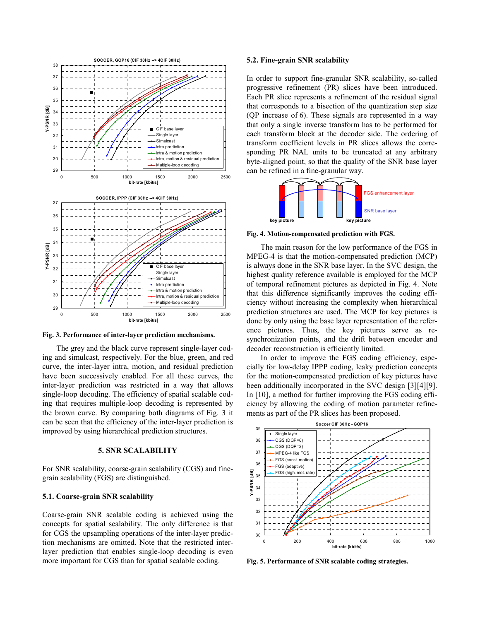

**Fig. 3. Performance of inter-layer prediction mechanisms.** 

The grey and the black curve represent single-layer coding and simulcast, respectively. For the blue, green, and red curve, the inter-layer intra, motion, and residual prediction have been successively enabled. For all these curves, the inter-layer prediction was restricted in a way that allows single-loop decoding. The efficiency of spatial scalable coding that requires multiple-loop decoding is represented by the brown curve. By comparing both diagrams of Fig. 3 it can be seen that the efficiency of the inter-layer prediction is improved by using hierarchical prediction structures.

#### **5. SNR SCALABILITY**

For SNR scalability, coarse-grain scalability (CGS) and finegrain scalability (FGS) are distinguished.

### **5.1. Coarse-grain SNR scalability**

Coarse-grain SNR scalable coding is achieved using the concepts for spatial scalability. The only difference is that for CGS the upsampling operations of the inter-layer prediction mechanisms are omitted. Note that the restricted interlayer prediction that enables single-loop decoding is even more important for CGS than for spatial scalable coding.

#### **5.2. Fine-grain SNR scalability**

In order to support fine-granular SNR scalability, so-called progressive refinement (PR) slices have been introduced. Each PR slice represents a refinement of the residual signal that corresponds to a bisection of the quantization step size (QP increase of 6). These signals are represented in a way that only a single inverse transform has to be performed for each transform block at the decoder side. The ordering of transform coefficient levels in PR slices allows the corresponding PR NAL units to be truncated at any arbitrary byte-aligned point, so that the quality of the SNR base layer can be refined in a fine-granular way.



**Fig. 4. Motion-compensated prediction with FGS.**

The main reason for the low performance of the FGS in MPEG-4 is that the motion-compensated prediction (MCP) is always done in the SNR base layer. In the SVC design, the highest quality reference available is employed for the MCP of temporal refinement pictures as depicted in Fig. 4. Note that this difference significantly improves the coding efficiency without increasing the complexity when hierarchical prediction structures are used. The MCP for key pictures is done by only using the base layer representation of the reference pictures. Thus, the key pictures serve as resynchronization points, and the drift between encoder and decoder reconstruction is efficiently limited.

In order to improve the FGS coding efficiency, especially for low-delay IPPP coding, leaky prediction concepts for the motion-compensated prediction of key pictures have been additionally incorporated in the SVC design [3][4][9]. In [10], a method for further improving the FGS coding efficiency by allowing the coding of motion parameter refinements as part of the PR slices has been proposed.



**Fig. 5. Performance of SNR scalable coding strategies.**